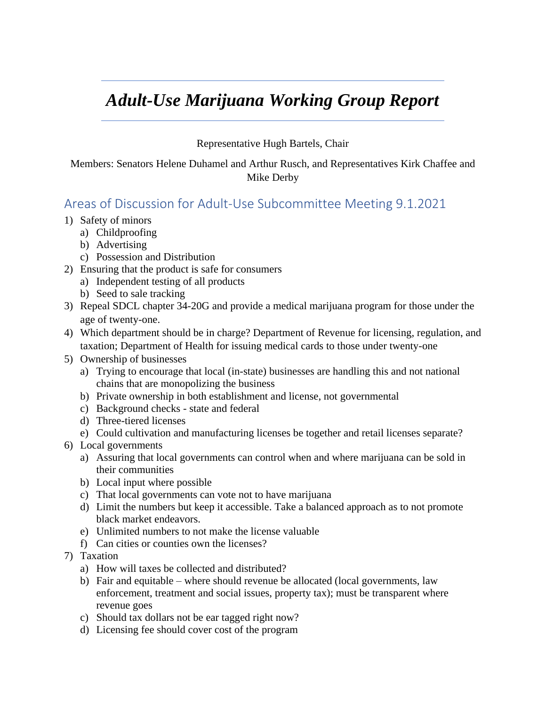## *Adult-Use Marijuana Working Group Report*

## Representative Hugh Bartels, Chair

Members: Senators Helene Duhamel and Arthur Rusch, and Representatives Kirk Chaffee and Mike Derby

## Areas of Discussion for Adult-Use Subcommittee Meeting 9.1.2021

- 1) Safety of minors
	- a) Childproofing
	- b) Advertising
	- c) Possession and Distribution
- 2) Ensuring that the product is safe for consumers
	- a) Independent testing of all products
	- b) Seed to sale tracking
- 3) Repeal SDCL chapter 34-20G and provide a medical marijuana program for those under the age of twenty-one.
- 4) Which department should be in charge? Department of Revenue for licensing, regulation, and taxation; Department of Health for issuing medical cards to those under twenty-one
- 5) Ownership of businesses
	- a) Trying to encourage that local (in-state) businesses are handling this and not national chains that are monopolizing the business
	- b) Private ownership in both establishment and license, not governmental
	- c) Background checks state and federal
	- d) Three-tiered licenses
	- e) Could cultivation and manufacturing licenses be together and retail licenses separate?
- 6) Local governments
	- a) Assuring that local governments can control when and where marijuana can be sold in their communities
	- b) Local input where possible
	- c) That local governments can vote not to have marijuana
	- d) Limit the numbers but keep it accessible. Take a balanced approach as to not promote black market endeavors.
	- e) Unlimited numbers to not make the license valuable
	- f) Can cities or counties own the licenses?
- 7) Taxation
	- a) How will taxes be collected and distributed?
	- b) Fair and equitable where should revenue be allocated (local governments, law enforcement, treatment and social issues, property tax); must be transparent where revenue goes
	- c) Should tax dollars not be ear tagged right now?
	- d) Licensing fee should cover cost of the program